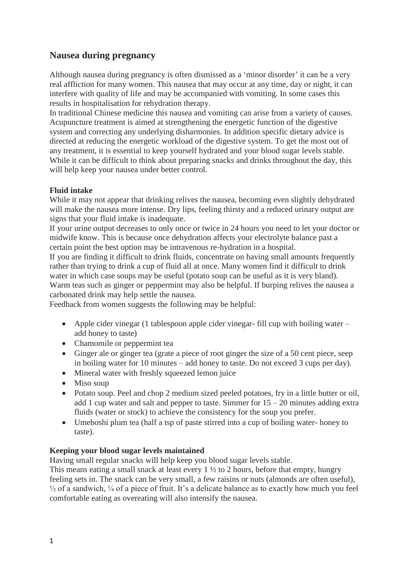# **Nausea during pregnancy**

Although nausea during pregnancy is often dismissed as a 'minor disorder' it can be a very real affliction for many women. This nausea that may occur at any time, day or night, it can interfere with quality of life and may be accompanied with vomiting. In some cases this results in hospitalisation for rehydration therapy.

In traditional Chinese medicine this nausea and vomiting can arise from a variety of causes. Acupuncture treatment is aimed at strengthening the energetic function of the digestive system and correcting any underlying disharmonies. In addition specific dietary advice is directed at reducing the energetic workload of the digestive system. To get the most out of any treatment, it is essential to keep yourself hydrated and your blood sugar levels stable. While it can be difficult to think about preparing snacks and drinks throughout the day, this will help keep your nausea under better control.

## **Fluid intake**

While it may not appear that drinking relives the nausea, becoming even slightly dehydrated will make the nausea more intense. Dry lips, feeling thirsty and a reduced urinary output are signs that your fluid intake is inadequate.

If your urine output decreases to only once or twice in 24 hours you need to let your doctor or midwife know. This is because once dehydration affects your electrolyte balance past a certain point the best option may be intravenous re-hydration in a hospital.

If you are finding it difficult to drink fluids, concentrate on having small amounts frequently rather than trying to drink a cup of fluid all at once. Many women find it difficult to drink water in which case soups may be useful (potato soup can be useful as it is very bland). Warm teas such as ginger or peppermint may also be helpful. If burping relives the nausea a carbonated drink may help settle the nausea.

Feedback from women suggests the following may be helpful:

- Apple cider vinegar (1 tablespoon apple cider vinegar- fill cup with boiling water add honey to taste)
- Chamomile or peppermint tea
- Ginger ale or ginger tea (grate a piece of root ginger the size of a 50 cent piece, seep in boiling water for 10 minutes – add honey to taste. Do not exceed 3 cups per day).
- Mineral water with freshly squeezed lemon juice
- Miso soup
- Potato soup. Peel and chop 2 medium sized peeled potatoes, fry in a little butter or oil, add 1 cup water and salt and pepper to taste. Simmer for  $15 - 20$  minutes adding extra fluids (water or stock) to achieve the consistency for the soup you prefer.
- Umeboshi plum tea (half a tsp of paste stirred into a cup of boiling water- honey to taste).

## **Keeping your blood sugar levels maintained**

Having small regular snacks will help keep you blood sugar levels stable.

This means eating a small snack at least every 1 ½ to 2 hours, before that empty, hungry feeling sets in. The snack can be very small, a few raisins or nuts (almonds are often useful),  $\frac{1}{2}$  of a sandwich,  $\frac{1}{4}$  of a piece of fruit. It's a delicate balance as to exactly how much you feel comfortable eating as overeating will also intensify the nausea.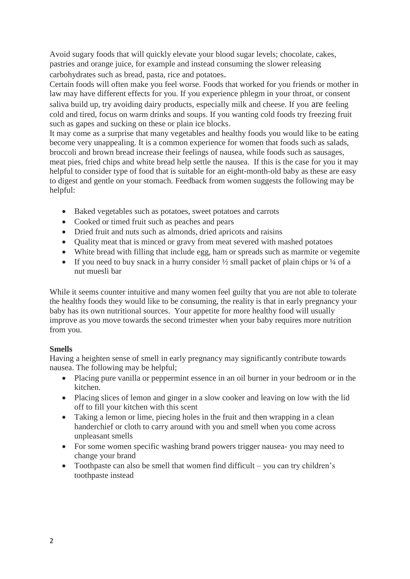Avoid sugary foods that will quickly elevate your blood sugar levels; chocolate, cakes, pastries and orange juice, for example and instead consuming the slower releasing carbohydrates such as bread, pasta, rice and potatoes.

Certain foods will often make you feel worse. Foods that worked for you friends or mother in law may have different effects for you. If you experience phlegm in your throat, or consent saliva build up, try avoiding dairy products, especially milk and cheese. If you are feeling cold and tired, focus on warm drinks and soups. If you wanting cold foods try freezing fruit such as gapes and sucking on these or plain ice blocks.

It may come as a surprise that many vegetables and healthy foods you would like to be eating become very unappealing. It is a common experience for women that foods such as salads, broccoli and brown bread increase their feelings of nausea, while foods such as sausages, meat pies, fried chips and white bread help settle the nausea. If this is the case for you it may helpful to consider type of food that is suitable for an eight-month-old baby as these are easy to digest and gentle on your stomach. Feedback from women suggests the following may be helpful:

- Baked vegetables such as potatoes, sweet potatoes and carrots
- Cooked or timed fruit such as peaches and pears
- Dried fruit and nuts such as almonds, dried apricots and raisins
- Quality meat that is minced or gravy from meat severed with mashed potatoes
- White bread with filling that include egg, ham or spreads such as marmite or vegemite
- If you need to buy snack in a hurry consider  $\frac{1}{2}$  small packet of plain chips or  $\frac{1}{4}$  of a nut muesli bar

While it seems counter intuitive and many women feel guilty that you are not able to tolerate the healthy foods they would like to be consuming, the reality is that in early pregnancy your baby has its own nutritional sources. Your appetite for more healthy food will usually improve as you move towards the second trimester when your baby requires more nutrition from you.

## **Smells**

Having a heighten sense of smell in early pregnancy may significantly contribute towards nausea. The following may be helpful;

- Placing pure vanilla or peppermint essence in an oil burner in your bedroom or in the kitchen.
- Placing slices of lemon and ginger in a slow cooker and leaving on low with the lid off to fill your kitchen with this scent
- Taking a lemon or lime, piecing holes in the fruit and then wrapping in a clean handerchief or cloth to carry around with you and smell when you come across unpleasant smells
- For some women specific washing brand powers trigger nausea- you may need to change your brand
- Toothpaste can also be smell that women find difficult you can try children's toothpaste instead